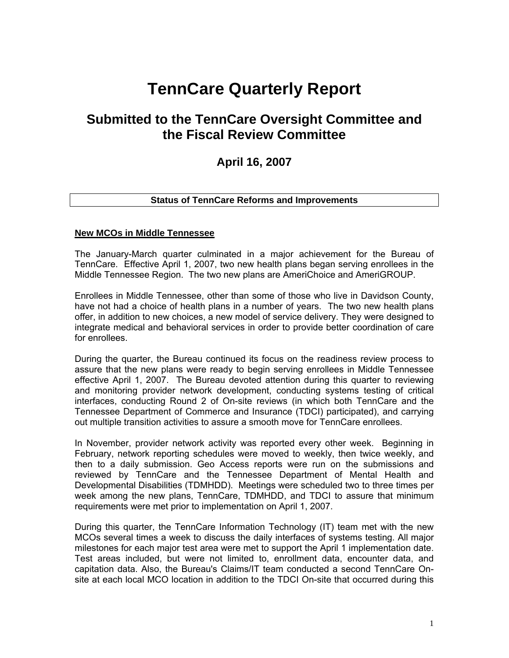# **TennCare Quarterly Report**

# **Submitted to the TennCare Oversight Committee and the Fiscal Review Committee**

# **April 16, 2007**

#### **Status of TennCare Reforms and Improvements**

#### **New MCOs in Middle Tennessee**

The January-March quarter culminated in a major achievement for the Bureau of TennCare. Effective April 1, 2007, two new health plans began serving enrollees in the Middle Tennessee Region. The two new plans are AmeriChoice and AmeriGROUP.

Enrollees in Middle Tennessee, other than some of those who live in Davidson County, have not had a choice of health plans in a number of years. The two new health plans offer, in addition to new choices, a new model of service delivery. They were designed to integrate medical and behavioral services in order to provide better coordination of care for enrollees.

During the quarter, the Bureau continued its focus on the readiness review process to assure that the new plans were ready to begin serving enrollees in Middle Tennessee effective April 1, 2007. The Bureau devoted attention during this quarter to reviewing and monitoring provider network development, conducting systems testing of critical interfaces, conducting Round 2 of On-site reviews (in which both TennCare and the Tennessee Department of Commerce and Insurance (TDCI) participated), and carrying out multiple transition activities to assure a smooth move for TennCare enrollees.

In November, provider network activity was reported every other week. Beginning in February, network reporting schedules were moved to weekly, then twice weekly, and then to a daily submission. Geo Access reports were run on the submissions and reviewed by TennCare and the Tennessee Department of Mental Health and Developmental Disabilities (TDMHDD). Meetings were scheduled two to three times per week among the new plans, TennCare, TDMHDD, and TDCI to assure that minimum requirements were met prior to implementation on April 1, 2007.

During this quarter, the TennCare Information Technology (IT) team met with the new MCOs several times a week to discuss the daily interfaces of systems testing. All major milestones for each major test area were met to support the April 1 implementation date. Test areas included, but were not limited to, enrollment data, encounter data, and capitation data. Also, the Bureau's Claims/IT team conducted a second TennCare Onsite at each local MCO location in addition to the TDCI On-site that occurred during this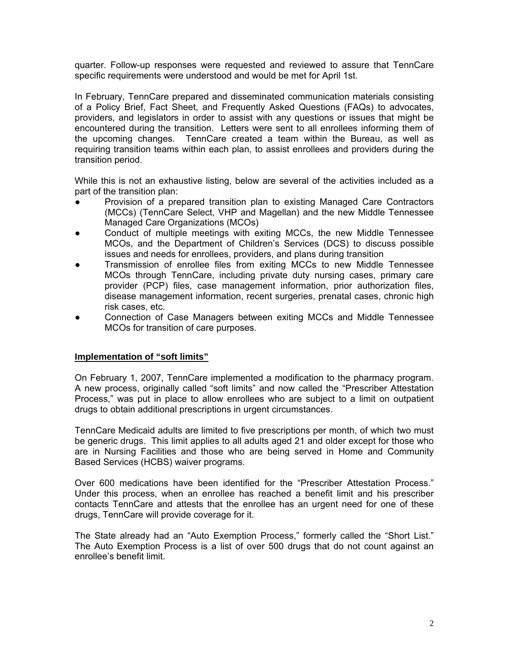quarter. Follow-up responses were requested and reviewed to assure that TennCare specific requirements were understood and would be met for April 1st.

In February, TennCare prepared and disseminated communication materials consisting of a Policy Brief, Fact Sheet, and Frequently Asked Questions (FAQs) to advocates, providers, and legislators in order to assist with any questions or issues that might be encountered during the transition. Letters were sent to all enrollees informing them of the upcoming changes. TennCare created a team within the Bureau, as well as requiring transition teams within each plan, to assist enrollees and providers during the transition period.

While this is not an exhaustive listing, below are several of the activities included as a part of the transition plan:

- Provision of a prepared transition plan to existing Managed Care Contractors (MCCs) (TennCare Select, VHP and Magellan) and the new Middle Tennessee Managed Care Organizations (MCOs)
- Conduct of multiple meetings with exiting MCCs, the new Middle Tennessee MCOs, and the Department of Children's Services (DCS) to discuss possible issues and needs for enrollees, providers, and plans during transition
- Transmission of enrollee files from exiting MCCs to new Middle Tennessee MCOs through TennCare, including private duty nursing cases, primary care provider (PCP) files, case management information, prior authorization files, disease management information, recent surgeries, prenatal cases, chronic high risk cases, etc.
- Connection of Case Managers between exiting MCCs and Middle Tennessee MCOs for transition of care purposes.

# **Implementation of "soft limits"**

On February 1, 2007, TennCare implemented a modification to the pharmacy program. A new process, originally called "soft limits" and now called the "Prescriber Attestation Process," was put in place to allow enrollees who are subject to a limit on outpatient drugs to obtain additional prescriptions in urgent circumstances.

TennCare Medicaid adults are limited to five prescriptions per month, of which two must be generic drugs. This limit applies to all adults aged 21 and older except for those who are in Nursing Facilities and those who are being served in Home and Community Based Services (HCBS) waiver programs.

Over 600 medications have been identified for the "Prescriber Attestation Process." Under this process, when an enrollee has reached a benefit limit and his prescriber contacts TennCare and attests that the enrollee has an urgent need for one of these drugs, TennCare will provide coverage for it.

The State already had an "Auto Exemption Process," formerly called the "Short List." The Auto Exemption Process is a list of over 500 drugs that do not count against an enrollee's benefit limit.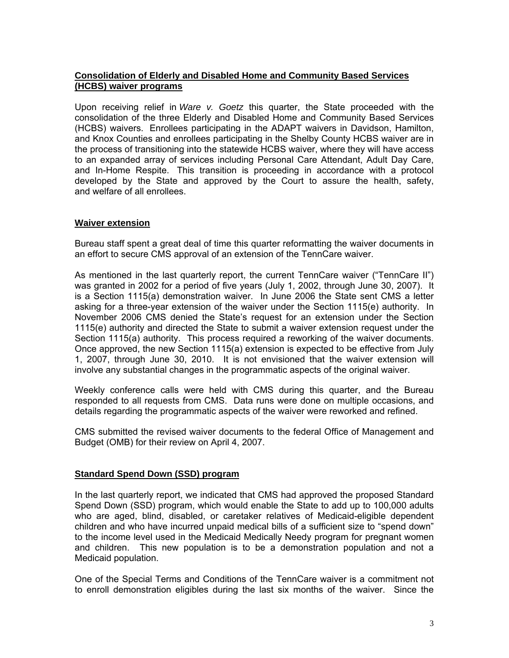# **Consolidation of Elderly and Disabled Home and Community Based Services (HCBS) waiver programs**

Upon receiving relief in *Ware v. Goetz* this quarter, the State proceeded with the consolidation of the three Elderly and Disabled Home and Community Based Services (HCBS) waivers. Enrollees participating in the ADAPT waivers in Davidson, Hamilton, and Knox Counties and enrollees participating in the Shelby County HCBS waiver are in the process of transitioning into the statewide HCBS waiver, where they will have access to an expanded array of services including Personal Care Attendant, Adult Day Care, and In-Home Respite. This transition is proceeding in accordance with a protocol developed by the State and approved by the Court to assure the health, safety, and welfare of all enrollees.

# **Waiver extension**

Bureau staff spent a great deal of time this quarter reformatting the waiver documents in an effort to secure CMS approval of an extension of the TennCare waiver.

As mentioned in the last quarterly report, the current TennCare waiver ("TennCare II") was granted in 2002 for a period of five years (July 1, 2002, through June 30, 2007). It is a Section 1115(a) demonstration waiver. In June 2006 the State sent CMS a letter asking for a three-year extension of the waiver under the Section 1115(e) authority. In November 2006 CMS denied the State's request for an extension under the Section 1115(e) authority and directed the State to submit a waiver extension request under the Section 1115(a) authority. This process required a reworking of the waiver documents. Once approved, the new Section 1115(a) extension is expected to be effective from July 1, 2007, through June 30, 2010. It is not envisioned that the waiver extension will involve any substantial changes in the programmatic aspects of the original waiver.

Weekly conference calls were held with CMS during this quarter, and the Bureau responded to all requests from CMS. Data runs were done on multiple occasions, and details regarding the programmatic aspects of the waiver were reworked and refined.

CMS submitted the revised waiver documents to the federal Office of Management and Budget (OMB) for their review on April 4, 2007.

#### **Standard Spend Down (SSD) program**

In the last quarterly report, we indicated that CMS had approved the proposed Standard Spend Down (SSD) program, which would enable the State to add up to 100,000 adults who are aged, blind, disabled, or caretaker relatives of Medicaid-eligible dependent children and who have incurred unpaid medical bills of a sufficient size to "spend down" to the income level used in the Medicaid Medically Needy program for pregnant women and children. This new population is to be a demonstration population and not a Medicaid population.

One of the Special Terms and Conditions of the TennCare waiver is a commitment not to enroll demonstration eligibles during the last six months of the waiver. Since the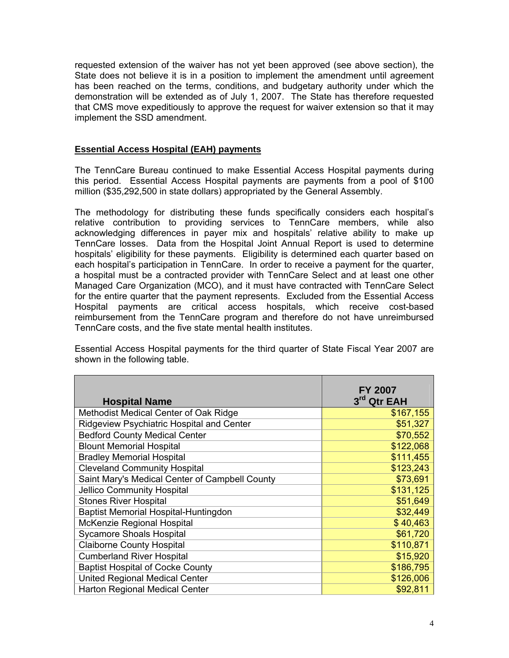requested extension of the waiver has not yet been approved (see above section), the State does not believe it is in a position to implement the amendment until agreement has been reached on the terms, conditions, and budgetary authority under which the demonstration will be extended as of July 1, 2007. The State has therefore requested that CMS move expeditiously to approve the request for waiver extension so that it may implement the SSD amendment.

#### **Essential Access Hospital (EAH) payments**

 The TennCare Bureau continued to make Essential Access Hospital payments during this period. Essential Access Hospital payments are payments from a pool of \$100 million (\$35,292,500 in state dollars) appropriated by the General Assembly.

The methodology for distributing these funds specifically considers each hospital's relative contribution to providing services to TennCare members, while also acknowledging differences in payer mix and hospitals' relative ability to make up TennCare losses. Data from the Hospital Joint Annual Report is used to determine hospitals' eligibility for these payments. Eligibility is determined each quarter based on each hospital's participation in TennCare. In order to receive a payment for the quarter, a hospital must be a contracted provider with TennCare Select and at least one other Managed Care Organization (MCO), and it must have contracted with TennCare Select for the entire quarter that the payment represents. Excluded from the Essential Access Hospital payments are critical access hospitals, which receive cost-based reimbursement from the TennCare program and therefore do not have unreimbursed TennCare costs, and the five state mental health institutes.

Essential Access Hospital payments for the third quarter of State Fiscal Year 2007 are shown in the following table.

| <b>Hospital Name</b>                           | <b>FY 2007</b><br>3rd Qtr EAH |
|------------------------------------------------|-------------------------------|
| Methodist Medical Center of Oak Ridge          | \$167,155                     |
| Ridgeview Psychiatric Hospital and Center      | \$51,327                      |
| <b>Bedford County Medical Center</b>           | \$70,552                      |
| <b>Blount Memorial Hospital</b>                | \$122,068                     |
| <b>Bradley Memorial Hospital</b>               | \$111,455                     |
| <b>Cleveland Community Hospital</b>            | \$123,243                     |
| Saint Mary's Medical Center of Campbell County | \$73,691                      |
| <b>Jellico Community Hospital</b>              | \$131,125                     |
| <b>Stones River Hospital</b>                   | \$51,649                      |
| <b>Baptist Memorial Hospital-Huntingdon</b>    | \$32,449                      |
| McKenzie Regional Hospital                     | \$40,463                      |
| <b>Sycamore Shoals Hospital</b>                | \$61,720                      |
| <b>Claiborne County Hospital</b>               | \$110,871                     |
| <b>Cumberland River Hospital</b>               | \$15,920                      |
| <b>Baptist Hospital of Cocke County</b>        | \$186,795                     |
| <b>United Regional Medical Center</b>          | \$126,006                     |
| Harton Regional Medical Center                 | \$92,811                      |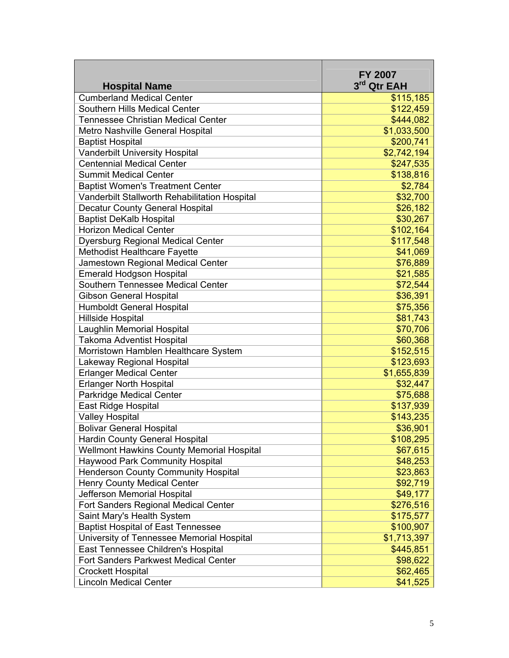| <b>Hospital Name</b>                          | <b>FY 2007</b><br>3rd Qtr EAH |
|-----------------------------------------------|-------------------------------|
| <b>Cumberland Medical Center</b>              | \$115,185                     |
| Southern Hills Medical Center                 | \$122,459                     |
| <b>Tennessee Christian Medical Center</b>     | \$444,082                     |
| Metro Nashville General Hospital              | \$1,033,500                   |
| <b>Baptist Hospital</b>                       | \$200,741                     |
| Vanderbilt University Hospital                | \$2,742,194                   |
| <b>Centennial Medical Center</b>              | \$247,535                     |
| <b>Summit Medical Center</b>                  | \$138,816                     |
| <b>Baptist Women's Treatment Center</b>       | \$2,784                       |
| Vanderbilt Stallworth Rehabilitation Hospital | \$32,700                      |
| Decatur County General Hospital               | \$26,182                      |
| <b>Baptist DeKalb Hospital</b>                | \$30,267                      |
| <b>Horizon Medical Center</b>                 | \$102,164                     |
| <b>Dyersburg Regional Medical Center</b>      | \$117,548                     |
| Methodist Healthcare Fayette                  | \$41,069                      |
| Jamestown Regional Medical Center             | \$76,889                      |
| <b>Emerald Hodgson Hospital</b>               | \$21,585                      |
| Southern Tennessee Medical Center             | \$72,544                      |
| <b>Gibson General Hospital</b>                | \$36,391                      |
| <b>Humboldt General Hospital</b>              | \$75,356                      |
| <b>Hillside Hospital</b>                      | \$81,743                      |
| Laughlin Memorial Hospital                    | \$70,706                      |
| Takoma Adventist Hospital                     | \$60,368                      |
| Morristown Hamblen Healthcare System          | \$152,515                     |
| Lakeway Regional Hospital                     | \$123,693                     |
| <b>Erlanger Medical Center</b>                | \$1,655,839                   |
| <b>Erlanger North Hospital</b>                | \$32,447                      |
| <b>Parkridge Medical Center</b>               | \$75,688                      |
| East Ridge Hospital                           | \$137,939                     |
| <b>Valley Hospital</b>                        | \$143,235                     |
| <b>Bolivar General Hospital</b>               | \$36,901                      |
| Hardin County General Hospital                | \$108,295                     |
| Wellmont Hawkins County Memorial Hospital     | \$67,615                      |
| <b>Haywood Park Community Hospital</b>        | \$48,253                      |
| <b>Henderson County Community Hospital</b>    | \$23,863                      |
| <b>Henry County Medical Center</b>            | \$92,719                      |
| Jefferson Memorial Hospital                   | \$49,177                      |
| Fort Sanders Regional Medical Center          | \$276,516                     |
| Saint Mary's Health System                    | \$175,577                     |
| <b>Baptist Hospital of East Tennessee</b>     | \$100,907                     |
| University of Tennessee Memorial Hospital     | \$1,713,397                   |
| East Tennessee Children's Hospital            | \$445,851                     |
| Fort Sanders Parkwest Medical Center          | \$98,622                      |
| <b>Crockett Hospital</b>                      | \$62,465                      |
| <b>Lincoln Medical Center</b>                 | \$41,525                      |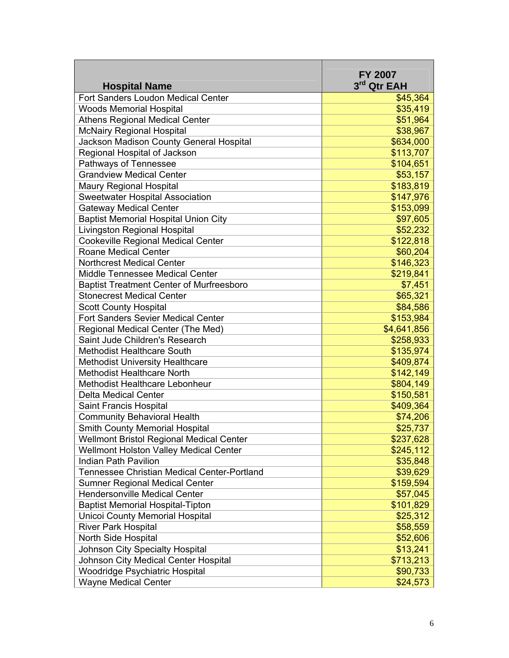| <b>Hospital Name</b>                                                         | <b>FY 2007</b><br>3rd Qtr EAH |
|------------------------------------------------------------------------------|-------------------------------|
| Fort Sanders Loudon Medical Center                                           | \$45,364                      |
| <b>Woods Memorial Hospital</b>                                               | \$35,419                      |
| <b>Athens Regional Medical Center</b>                                        | \$51,964                      |
| <b>McNairy Regional Hospital</b>                                             | \$38,967                      |
| Jackson Madison County General Hospital                                      | \$634,000                     |
| Regional Hospital of Jackson                                                 | \$113,707                     |
| Pathways of Tennessee                                                        | \$104,651                     |
| <b>Grandview Medical Center</b>                                              | \$53,157                      |
| <b>Maury Regional Hospital</b>                                               | \$183,819                     |
| <b>Sweetwater Hospital Association</b>                                       | \$147,976                     |
| <b>Gateway Medical Center</b>                                                | \$153,099                     |
| <b>Baptist Memorial Hospital Union City</b>                                  | \$97,605                      |
| Livingston Regional Hospital                                                 | \$52,232                      |
| <b>Cookeville Regional Medical Center</b>                                    | \$122,818                     |
| <b>Roane Medical Center</b>                                                  | \$60,204                      |
| <b>Northcrest Medical Center</b>                                             | \$146,323                     |
| Middle Tennessee Medical Center                                              | \$219,841                     |
| <b>Baptist Treatment Center of Murfreesboro</b>                              | \$7,451                       |
| <b>Stonecrest Medical Center</b>                                             | \$65,321                      |
| <b>Scott County Hospital</b>                                                 | \$84,586                      |
| <b>Fort Sanders Sevier Medical Center</b>                                    | \$153,984                     |
| Regional Medical Center (The Med)                                            | \$4,641,856                   |
| Saint Jude Children's Research                                               | \$258,933                     |
| <b>Methodist Healthcare South</b>                                            | \$135,974                     |
| <b>Methodist University Healthcare</b>                                       | \$409,874                     |
| <b>Methodist Healthcare North</b>                                            | \$142,149                     |
| Methodist Healthcare Lebonheur                                               | \$804,149                     |
| <b>Delta Medical Center</b>                                                  | \$150,581                     |
| Saint Francis Hospital                                                       | \$409,364                     |
| <b>Community Behavioral Health</b>                                           | \$74,206                      |
| <b>Smith County Memorial Hospital</b>                                        | \$25,737                      |
| <b>Wellmont Bristol Regional Medical Center</b>                              | \$237,628                     |
| <b>Wellmont Holston Valley Medical Center</b><br><b>Indian Path Pavilion</b> | \$245,112                     |
| Tennessee Christian Medical Center-Portland                                  | \$35,848<br>\$39,629          |
| <b>Sumner Regional Medical Center</b>                                        | \$159,594                     |
| <b>Hendersonville Medical Center</b>                                         | \$57,045                      |
| <b>Baptist Memorial Hospital-Tipton</b>                                      | \$101,829                     |
| <b>Unicoi County Memorial Hospital</b>                                       | \$25,312                      |
| <b>River Park Hospital</b>                                                   | \$58,559                      |
| North Side Hospital                                                          | \$52,606                      |
| Johnson City Specialty Hospital                                              | \$13,241                      |
| Johnson City Medical Center Hospital                                         | \$713,213                     |
| Woodridge Psychiatric Hospital                                               | \$90,733                      |
| <b>Wayne Medical Center</b>                                                  | \$24,573                      |
|                                                                              |                               |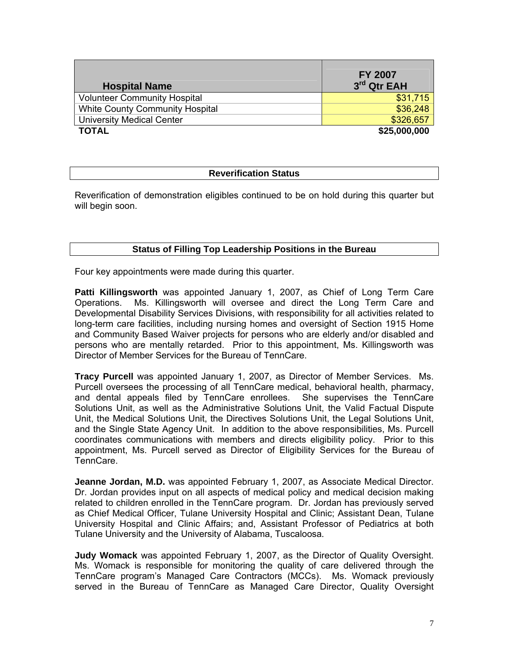| <b>Hospital Name</b>                   | <b>FY 2007</b><br>3rd Qtr EAH |
|----------------------------------------|-------------------------------|
| <b>Volunteer Community Hospital</b>    | \$31,715                      |
| <b>White County Community Hospital</b> | \$36,248                      |
| <b>University Medical Center</b>       | \$326,657                     |
| <b>TOTAL</b>                           | \$25,000,000                  |

#### **Reverification Status**

Reverification of demonstration eligibles continued to be on hold during this quarter but will begin soon.

#### **Status of Filling Top Leadership Positions in the Bureau**

Four key appointments were made during this quarter.

**Patti Killingsworth** was appointed January 1, 2007, as Chief of Long Term Care Operations. Ms. Killingsworth will oversee and direct the Long Term Care and Developmental Disability Services Divisions, with responsibility for all activities related to long-term care facilities, including nursing homes and oversight of Section 1915 Home and Community Based Waiver projects for persons who are elderly and/or disabled and persons who are mentally retarded. Prior to this appointment, Ms. Killingsworth was Director of Member Services for the Bureau of TennCare.

**Tracy Purcell** was appointed January 1, 2007, as Director of Member Services. Ms. Purcell oversees the processing of all TennCare medical, behavioral health, pharmacy, and dental appeals filed by TennCare enrollees. She supervises the TennCare Solutions Unit, as well as the Administrative Solutions Unit, the Valid Factual Dispute Unit, the Medical Solutions Unit, the Directives Solutions Unit, the Legal Solutions Unit, and the Single State Agency Unit. In addition to the above responsibilities, Ms. Purcell coordinates communications with members and directs eligibility policy.Prior to this appointment, Ms. Purcell served as Director of Eligibility Services for the Bureau of TennCare.

**Jeanne Jordan, M.D.** was appointed February 1, 2007, as Associate Medical Director. Dr. Jordan provides input on all aspects of medical policy and medical decision making related to children enrolled in the TennCare program. Dr. Jordan has previously served as Chief Medical Officer, Tulane University Hospital and Clinic; Assistant Dean, Tulane University Hospital and Clinic Affairs; and, Assistant Professor of Pediatrics at both Tulane University and the University of Alabama, Tuscaloosa.

**Judy Womack** was appointed February 1, 2007, as the Director of Quality Oversight. Ms. Womack is responsible for monitoring the quality of care delivered through the TennCare program's Managed Care Contractors (MCCs). Ms. Womack previously served in the Bureau of TennCare as Managed Care Director, Quality Oversight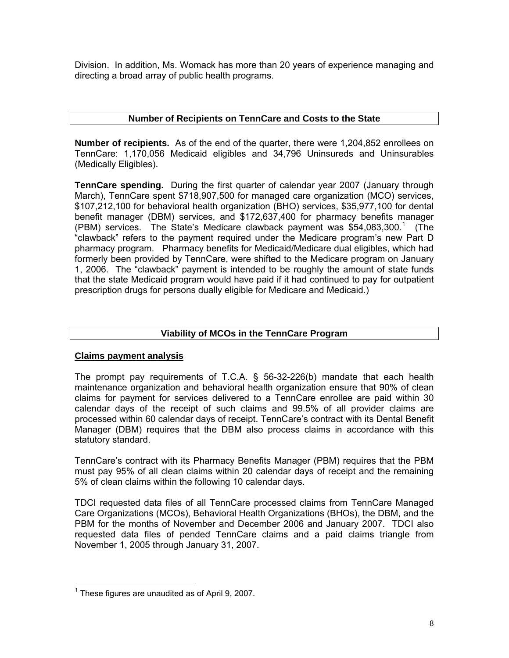Division. In addition, Ms. Womack has more than 20 years of experience managing and directing a broad array of public health programs.

# **Number of Recipients on TennCare and Costs to the State**

**Number of recipients.** As of the end of the quarter, there were 1,204,852 enrollees on TennCare: 1,170,056 Medicaid eligibles and 34,796 Uninsureds and Uninsurables (Medically Eligibles).

**TennCare spending.** During the first quarter of calendar year 2007 (January through March), TennCare spent \$718,907,500 for managed care organization (MCO) services, \$107,212,100 for behavioral health organization (BHO) services, \$35,977,100 for dental benefit manager (DBM) services, and \$172,637,400 for pharmacy benefits manager (PBM) services. The State's Medicare clawback payment was  $$54,083,300.<sup>1</sup>$  $$54,083,300.<sup>1</sup>$  $$54,083,300.<sup>1</sup>$  (The "clawback" refers to the payment required under the Medicare program's new Part D pharmacy program. Pharmacy benefits for Medicaid/Medicare dual eligibles, which had formerly been provided by TennCare, were shifted to the Medicare program on January 1, 2006. The "clawback" payment is intended to be roughly the amount of state funds that the state Medicaid program would have paid if it had continued to pay for outpatient prescription drugs for persons dually eligible for Medicare and Medicaid.)

# **Viability of MCOs in the TennCare Program**

# **Claims payment analysis**

The prompt pay requirements of T.C.A. § 56-32-226(b) mandate that each health maintenance organization and behavioral health organization ensure that 90% of clean claims for payment for services delivered to a TennCare enrollee are paid within 30 calendar days of the receipt of such claims and 99.5% of all provider claims are processed within 60 calendar days of receipt. TennCare's contract with its Dental Benefit Manager (DBM) requires that the DBM also process claims in accordance with this statutory standard.

TennCare's contract with its Pharmacy Benefits Manager (PBM) requires that the PBM must pay 95% of all clean claims within 20 calendar days of receipt and the remaining 5% of clean claims within the following 10 calendar days.

TDCI requested data files of all TennCare processed claims from TennCare Managed Care Organizations (MCOs), Behavioral Health Organizations (BHOs), the DBM, and the PBM for the months of November and December 2006 and January 2007. TDCI also requested data files of pended TennCare claims and a paid claims triangle from November 1, 2005 through January 31, 2007.

<span id="page-7-0"></span> $\overline{a}$  $1$  These figures are unaudited as of April 9, 2007.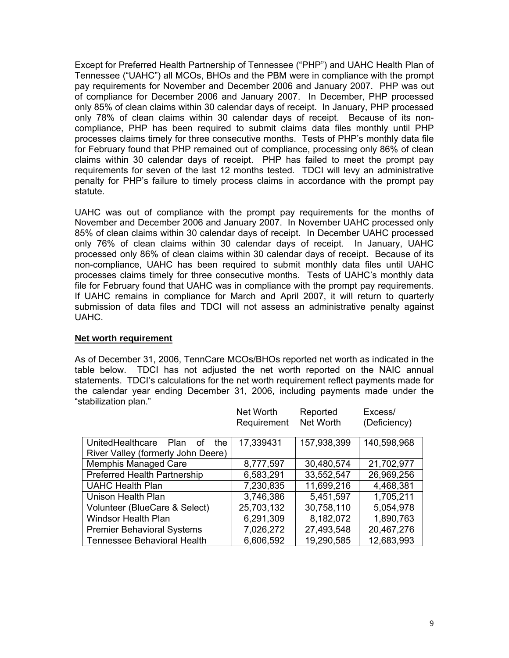Except for Preferred Health Partnership of Tennessee ("PHP") and UAHC Health Plan of Tennessee ("UAHC") all MCOs, BHOs and the PBM were in compliance with the prompt pay requirements for November and December 2006 and January 2007. PHP was out of compliance for December 2006 and January 2007. In December, PHP processed only 85% of clean claims within 30 calendar days of receipt. In January, PHP processed only 78% of clean claims within 30 calendar days of receipt. Because of its noncompliance, PHP has been required to submit claims data files monthly until PHP processes claims timely for three consecutive months. Tests of PHP's monthly data file for February found that PHP remained out of compliance, processing only 86% of clean claims within 30 calendar days of receipt. PHP has failed to meet the prompt pay requirements for seven of the last 12 months tested. TDCI will levy an administrative penalty for PHP's failure to timely process claims in accordance with the prompt pay statute.

UAHC was out of compliance with the prompt pay requirements for the months of November and December 2006 and January 2007. In November UAHC processed only 85% of clean claims within 30 calendar days of receipt. In December UAHC processed only 76% of clean claims within 30 calendar days of receipt. In January, UAHC processed only 86% of clean claims within 30 calendar days of receipt. Because of its non-compliance, UAHC has been required to submit monthly data files until UAHC processes claims timely for three consecutive months. Tests of UAHC's monthly data file for February found that UAHC was in compliance with the prompt pay requirements. If UAHC remains in compliance for March and April 2007, it will return to quarterly submission of data files and TDCI will not assess an administrative penalty against UAHC.

# **Net worth requirement**

As of December 31, 2006, TennCare MCOs/BHOs reported net worth as indicated in the table below. TDCI has not adjusted the net worth reported on the NAIC annual statements. TDCI's calculations for the net worth requirement reflect payments made for the calendar year ending December 31, 2006, including payments made under the "stabilization plan." Net Worth Reported  $E_{YQQQ}$ 

|                                                                       | <b>NEL VVOLUT</b><br>Requirement | <b>REPORTED</b><br>Net Worth | <b>EXCESS/</b><br>(Deficiency) |
|-----------------------------------------------------------------------|----------------------------------|------------------------------|--------------------------------|
| UnitedHealthcare Plan of<br>the<br>River Valley (formerly John Deere) | 17,339431                        | 157,938,399                  | 140,598,968                    |
| <b>Memphis Managed Care</b>                                           | 8,777,597                        | 30,480,574                   | 21,702,977                     |
| <b>Preferred Health Partnership</b>                                   | 6,583,291                        | 33,552,547                   | 26,969,256                     |
| <b>UAHC Health Plan</b>                                               | 7,230,835                        | 11,699,216                   | 4,468,381                      |
| Unison Health Plan                                                    | 3,746,386                        | 5,451,597                    | 1,705,211                      |
| Volunteer (BlueCare & Select)                                         | 25,703,132                       | 30,758,110                   | 5,054,978                      |
| <b>Windsor Health Plan</b>                                            | 6,291,309                        | 8,182,072                    | 1,890,763                      |
| <b>Premier Behavioral Systems</b>                                     | 7,026,272                        | 27,493,548                   | 20,467,276                     |
| <b>Tennessee Behavioral Health</b>                                    | 6,606,592                        | 19,290,585                   | 12,683,993                     |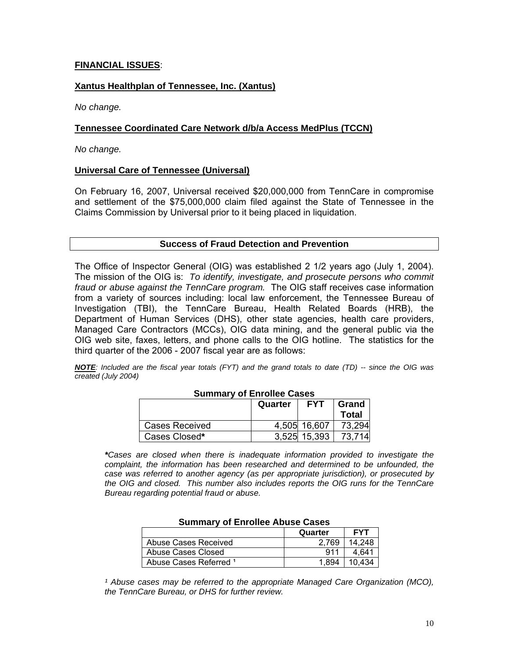# **FINANCIAL ISSUES**:

# **Xantus Healthplan of Tennessee, Inc. (Xantus)**

*No change.* 

# **Tennessee Coordinated Care Network d/b/a Access MedPlus (TCCN)**

*No change.* 

#### **Universal Care of Tennessee (Universal)**

On February 16, 2007, Universal received \$20,000,000 from TennCare in compromise and settlement of the \$75,000,000 claim filed against the State of Tennessee in the Claims Commission by Universal prior to it being placed in liquidation.

#### **Success of Fraud Detection and Prevention**

The Office of Inspector General (OIG) was established 2 1/2 years ago (July 1, 2004). The mission of the OIG is: *To identify, investigate, and prosecute persons who commit fraud or abuse against the TennCare program.* The OIG staff receives case information from a variety of sources including: local law enforcement, the Tennessee Bureau of Investigation (TBI), the TennCare Bureau, Health Related Boards (HRB), the Department of Human Services (DHS), other state agencies, health care providers, Managed Care Contractors (MCCs), OIG data mining, and the general public via the OIG web site, faxes, letters, and phone calls to the OIG hotline. The statistics for the third quarter of the 2006 - 2007 fiscal year are as follows:

*NOTE: Included are the fiscal year totals (FYT) and the grand totals to date (TD) -- since the OIG was created (July 2004)* 

|                       | Quarter | <b>FYT</b>   | Grand<br><b>Total</b> |
|-----------------------|---------|--------------|-----------------------|
| <b>Cases Received</b> |         | 4,505 16,607 | 73,294                |
| Cases Closed*         | 3,525   | 15,393       | 714                   |

#### **Summary of Enrollee Cases**

*\*Cases are closed when there is inadequate information provided to investigate the complaint, the information has been researched and determined to be unfounded, the case was referred to another agency (as per appropriate jurisdiction), or prosecuted by the OIG and closed. This number also includes reports the OIG runs for the TennCare Bureau regarding potential fraud or abuse.* 

| Summary of Enrollee Abuse Cases   |       |        |  |
|-----------------------------------|-------|--------|--|
| <b>FYT</b><br>Quarter             |       |        |  |
| Abuse Cases Received              | 2.769 | 14.248 |  |
| Abuse Cases Closed                | 911   | 4.641  |  |
| Abuse Cases Referred <sup>1</sup> | 1 894 | 10 434 |  |

#### **Summary of Enrollee Abuse Cases**

<sup>1</sup> Abuse cases may be referred to the appropriate Managed Care Organization (MCO), *the TennCare Bureau, or DHS for further review.*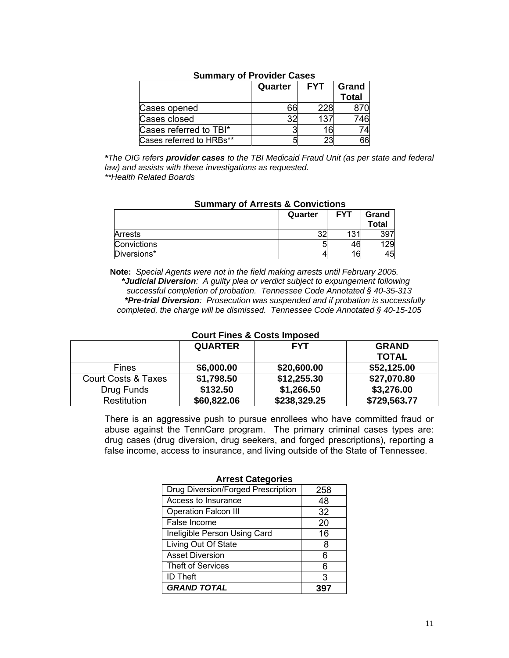|                          | Quarter | <b>FYT</b> | Grand<br><b>Total</b> |
|--------------------------|---------|------------|-----------------------|
| Cases opened             | 66      | 228        | 870                   |
| Cases closed             |         | 137        | 746                   |
| Cases referred to TBI*   |         |            |                       |
| Cases referred to HRBs** |         |            | 66                    |

# **Summary of Provider Cases**

*\*The OIG refers provider cases to the TBI Medicaid Fraud Unit (as per state and federal law) and assists with these investigations as requested. \*\*Health Related Boards* 

|             | .<br>--------------- |            |                |
|-------------|----------------------|------------|----------------|
|             | Quarter              | <b>FYT</b> | Grand<br>Total |
| Arrests     |                      | 131        |                |
| Convictions |                      | 46         | 29             |
| Diversions* |                      | 16         | 45             |

#### **Summary of Arrests & Convictions**

**Note:** *Special Agents were not in the field making arrests until February 2005. \*Judicial Diversion: A guilty plea or verdict subject to expungement following successful completion of probation. Tennessee Code Annotated § 40-35-313 \*Pre-trial Diversion: Prosecution was suspended and if probation is successfully completed, the charge will be dismissed. Tennessee Code Annotated § 40-15-105* 

|                     | <b>QUARTER</b> | <b>FYT</b>   | <b>GRAND</b> |
|---------------------|----------------|--------------|--------------|
|                     |                |              | <b>TOTAL</b> |
| <b>Fines</b>        | \$6,000.00     | \$20,600.00  | \$52,125.00  |
| Court Costs & Taxes | \$1,798.50     | \$12,255.30  | \$27,070.80  |
| Drug Funds          | \$132.50       | \$1,266.50   | \$3,276.00   |
| Restitution         | \$60,822.06    | \$238,329.25 | \$729,563.77 |

There is an aggressive push to pursue enrollees who have committed fraud or abuse against the TennCare program. The primary criminal cases types are: drug cases (drug diversion, drug seekers, and forged prescriptions), reporting a false income, access to insurance, and living outside of the State of Tennessee.

| <b>Arrest Categories</b>           |     |
|------------------------------------|-----|
| Drug Diversion/Forged Prescription | 258 |
| Access to Insurance                | 48  |
| <b>Operation Falcon III</b>        | 32  |
| False Income                       | 20  |
| Ineligible Person Using Card       | 16  |
| Living Out Of State                | 8   |
| <b>Asset Diversion</b>             | 6   |
| <b>Theft of Services</b>           | 6   |
| <b>ID Theft</b>                    | 3   |
| <b>GRAND TOTAL</b>                 |     |

#### **Arrest Categories**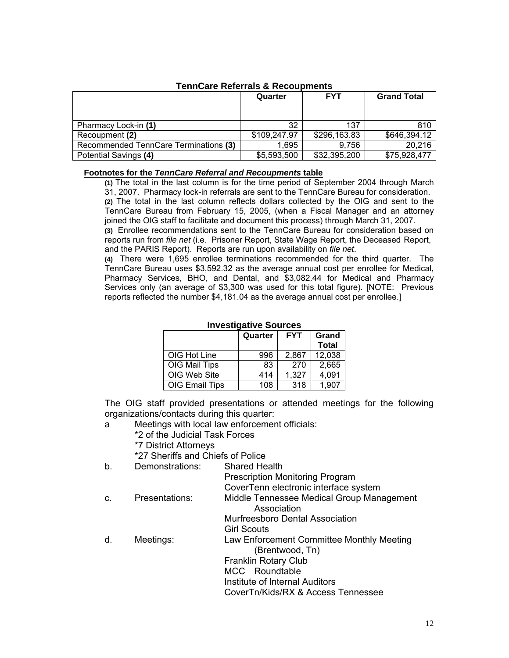| Termoare Referrats & Recoupliferits   |              |              |                    |  |
|---------------------------------------|--------------|--------------|--------------------|--|
|                                       | Quarter      | <b>FYT</b>   | <b>Grand Total</b> |  |
| Pharmacy Lock-in (1)                  | 32           | 137          | 810                |  |
| Recoupment (2)                        | \$109,247.97 | \$296,163.83 | \$646,394.12       |  |
| Recommended TennCare Terminations (3) | 1.695        | 9.756        | 20,216             |  |
| Potential Savings (4)                 | \$5,593,500  | \$32,395,200 | \$75,928,477       |  |

# **TennCare Referrals & Recoupments**

#### **Footnotes for the** *TennCare Referral and Recoupments* **table**

 **(1)** The total in the last column is for the time period of September 2004 through March 31, 2007. Pharmacy lock-in referrals are sent to the TennCare Bureau for consideration. **(2)** The total in the last column reflects dollars collected by the OIG and sent to the TennCare Bureau from February 15, 2005, (when a Fiscal Manager and an attorney joined the OIG staff to facilitate and document this process) through March 31, 2007.

**(3)** Enrollee recommendations sent to the TennCare Bureau for consideration based on reports run from *file net* (i.e. Prisoner Report, State Wage Report, the Deceased Report, and the PARIS Report). Reports are run upon availability on *file net*.

**(4)** There were 1,695 enrollee terminations recommended for the third quarter. The TennCare Bureau uses \$3,592.32 as the average annual cost per enrollee for Medical, Pharmacy Services, BHO, and Dental, and \$3,082.44 for Medical and Pharmacy Services only (an average of \$3,300 was used for this total figure). [NOTE: Previous reports reflected the number \$4,181.04 as the average annual cost per enrollee.]

|                       | Quarter | <b>FYT</b> | Grand<br><b>Total</b> |
|-----------------------|---------|------------|-----------------------|
| OIG Hot Line          | 996     | 2,867      | 12,038                |
| OIG Mail Tips         | 83      | 270        | 2,665                 |
| OIG Web Site          | 414     | 1,327      | 4,091                 |
| <b>OIG Email Tips</b> | 108     | 318        | 1.907                 |

# **Investigative Sources**

 The OIG staff provided presentations or attended meetings for the following organizations/contacts during this quarter:

- a Meetings with local law enforcement officials:
	- \*2 of the Judicial Task Forces
	- \*7 District Attorneys
	- \*27 Sheriffs and Chiefs of Police
- b. Demonstrations: Shared Health
- Prescription Monitoring Program CoverTenn electronic interface system c. Presentations: Middle Tennessee Medical Group Management **Association**  Murfreesboro Dental Association Girl Scouts d. Meetings: Law Enforcement Committee Monthly Meeting (Brentwood, Tn) Franklin Rotary Club MCC Roundtable Institute of Internal Auditors
	- CoverTn/Kids/RX & Access Tennessee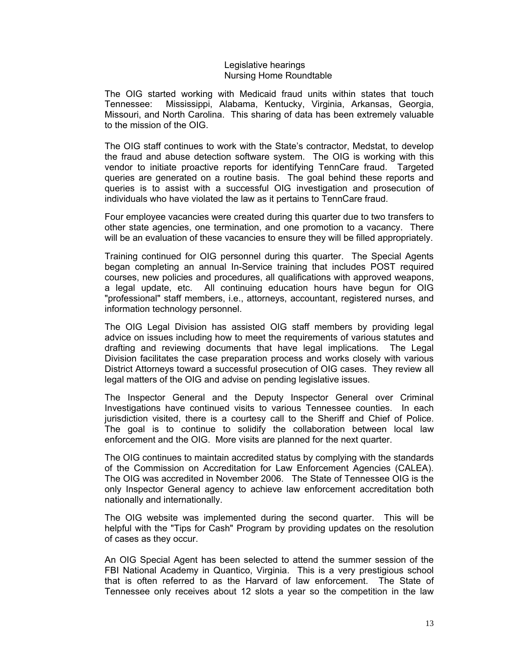#### Legislative hearings Nursing Home Roundtable

 The OIG started working with Medicaid fraud units within states that touch Tennessee: Mississippi, Alabama, Kentucky, Virginia, Arkansas, Georgia, Missouri, and North Carolina. This sharing of data has been extremely valuable to the mission of the OIG.

 The OIG staff continues to work with the State's contractor, Medstat, to develop the fraud and abuse detection software system. The OIG is working with this vendor to initiate proactive reports for identifying TennCare fraud. Targeted queries are generated on a routine basis. The goal behind these reports and queries is to assist with a successful OIG investigation and prosecution of individuals who have violated the law as it pertains to TennCare fraud.

 Four employee vacancies were created during this quarter due to two transfers to other state agencies, one termination, and one promotion to a vacancy. There will be an evaluation of these vacancies to ensure they will be filled appropriately.

 Training continued for OIG personnel during this quarter. The Special Agents began completing an annual In-Service training that includes POST required courses, new policies and procedures, all qualifications with approved weapons, a legal update, etc. All continuing education hours have begun for OIG "professional" staff members, i.e., attorneys, accountant, registered nurses, and information technology personnel.

 The OIG Legal Division has assisted OIG staff members by providing legal advice on issues including how to meet the requirements of various statutes and drafting and reviewing documents that have legal implications. The Legal Division facilitates the case preparation process and works closely with various District Attorneys toward a successful prosecution of OIG cases. They review all legal matters of the OIG and advise on pending legislative issues.

The Inspector General and the Deputy Inspector General over Criminal Investigations have continued visits to various Tennessee counties. In each jurisdiction visited, there is a courtesy call to the Sheriff and Chief of Police. The goal is to continue to solidify the collaboration between local law enforcement and the OIG. More visits are planned for the next quarter.

The OIG continues to maintain accredited status by complying with the standards of the Commission on Accreditation for Law Enforcement Agencies (CALEA). The OIG was accredited in November 2006. The State of Tennessee OIG is the only Inspector General agency to achieve law enforcement accreditation both nationally and internationally.

 The OIG website was implemented during the second quarter. This will be helpful with the "Tips for Cash" Program by providing updates on the resolution of cases as they occur.

 An OIG Special Agent has been selected to attend the summer session of the FBI National Academy in Quantico, Virginia. This is a very prestigious school that is often referred to as the Harvard of law enforcement. The State of Tennessee only receives about 12 slots a year so the competition in the law